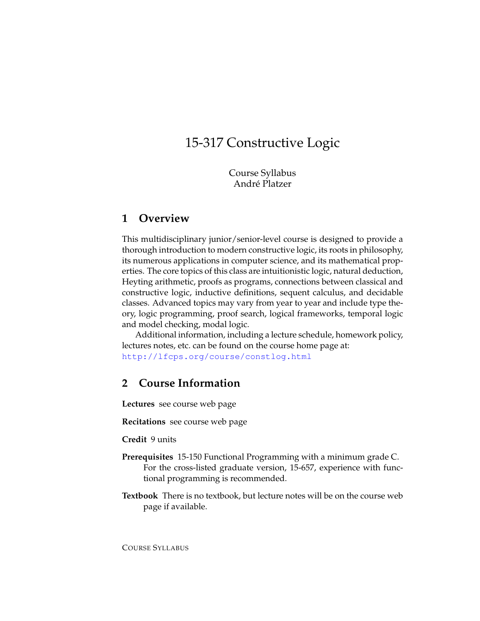# 15-317 Constructive Logic

Course Syllabus André Platzer

## **1 Overview**

This multidisciplinary junior/senior-level course is designed to provide a thorough introduction to modern constructive logic, its roots in philosophy, its numerous applications in computer science, and its mathematical properties. The core topics of this class are intuitionistic logic, natural deduction, Heyting arithmetic, proofs as programs, connections between classical and constructive logic, inductive definitions, sequent calculus, and decidable classes. Advanced topics may vary from year to year and include type theory, logic programming, proof search, logical frameworks, temporal logic and model checking, modal logic.

Additional information, including a lecture schedule, homework policy, lectures notes, etc. can be found on the course home page at: <http://lfcps.org/course/constlog.html>

# **2 Course Information**

**Lectures** see course web page

**Recitations** see course web page

**Credit** 9 units

- **Prerequisites** 15-150 Functional Programming with a minimum grade C. For the cross-listed graduate version, 15-657, experience with functional programming is recommended.
- **Textbook** There is no textbook, but lecture notes will be on the course web page if available.

COURSE SYLLABUS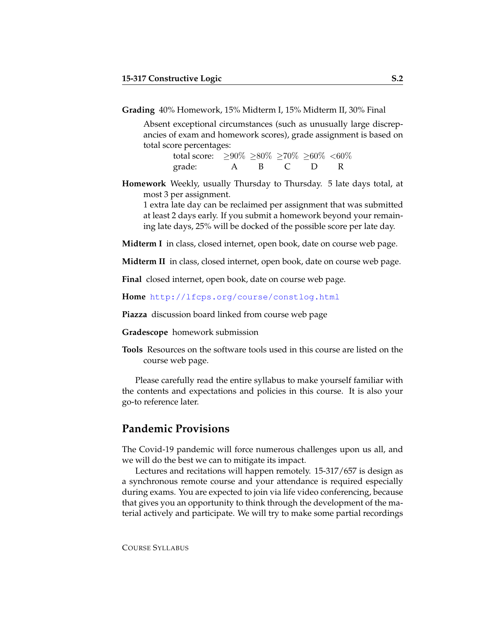**Grading** 40% Homework, 15% Midterm I, 15% Midterm II, 30% Final

Absent exceptional circumstances (such as unusually large discrepancies of exam and homework scores), grade assignment is based on total score percentages:

> total score: ≥90% ≥80% ≥70% ≥60% <60% grade: A B C D R

**Homework** Weekly, usually Thursday to Thursday. 5 late days total, at most 3 per assignment.

1 extra late day can be reclaimed per assignment that was submitted at least 2 days early. If you submit a homework beyond your remaining late days, 25% will be docked of the possible score per late day.

**Midterm I** in class, closed internet, open book, date on course web page.

**Midterm II** in class, closed internet, open book, date on course web page.

**Final** closed internet, open book, date on course web page.

**Home** <http://lfcps.org/course/constlog.html>

**Piazza** discussion board linked from course web page

**Gradescope** homework submission

**Tools** Resources on the software tools used in this course are listed on the course web page.

Please carefully read the entire syllabus to make yourself familiar with the contents and expectations and policies in this course. It is also your go-to reference later.

### **Pandemic Provisions**

The Covid-19 pandemic will force numerous challenges upon us all, and we will do the best we can to mitigate its impact.

Lectures and recitations will happen remotely. 15-317/657 is design as a synchronous remote course and your attendance is required especially during exams. You are expected to join via life video conferencing, because that gives you an opportunity to think through the development of the material actively and participate. We will try to make some partial recordings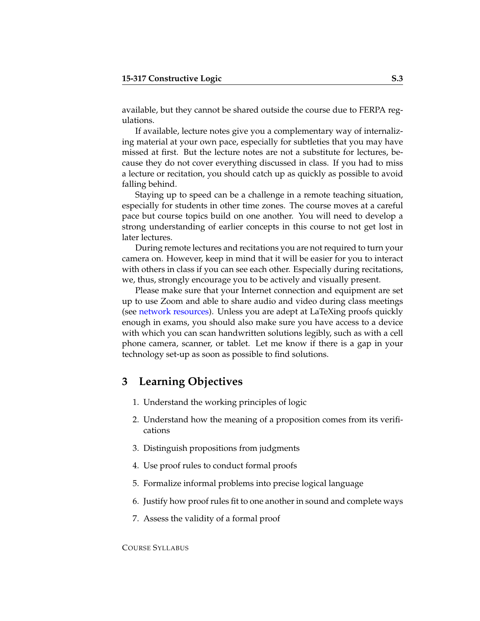available, but they cannot be shared outside the course due to FERPA regulations.

If available, lecture notes give you a complementary way of internalizing material at your own pace, especially for subtleties that you may have missed at first. But the lecture notes are not a substitute for lectures, because they do not cover everything discussed in class. If you had to miss a lecture or recitation, you should catch up as quickly as possible to avoid falling behind.

Staying up to speed can be a challenge in a remote teaching situation, especially for students in other time zones. The course moves at a careful pace but course topics build on one another. You will need to develop a strong understanding of earlier concepts in this course to not get lost in later lectures.

During remote lectures and recitations you are not required to turn your camera on. However, keep in mind that it will be easier for you to interact with others in class if you can see each other. Especially during recitations, we, thus, strongly encourage you to be actively and visually present.

Please make sure that your Internet connection and equipment are set up to use Zoom and able to share audio and video during class meetings (see [network resources\)](https://www.cmu.edu/computing/start/students.html). Unless you are adept at LaTeXing proofs quickly enough in exams, you should also make sure you have access to a device with which you can scan handwritten solutions legibly, such as with a cell phone camera, scanner, or tablet. Let me know if there is a gap in your technology set-up as soon as possible to find solutions.

# **3 Learning Objectives**

- 1. Understand the working principles of logic
- 2. Understand how the meaning of a proposition comes from its verifications
- 3. Distinguish propositions from judgments
- 4. Use proof rules to conduct formal proofs
- 5. Formalize informal problems into precise logical language
- 6. Justify how proof rules fit to one another in sound and complete ways
- 7. Assess the validity of a formal proof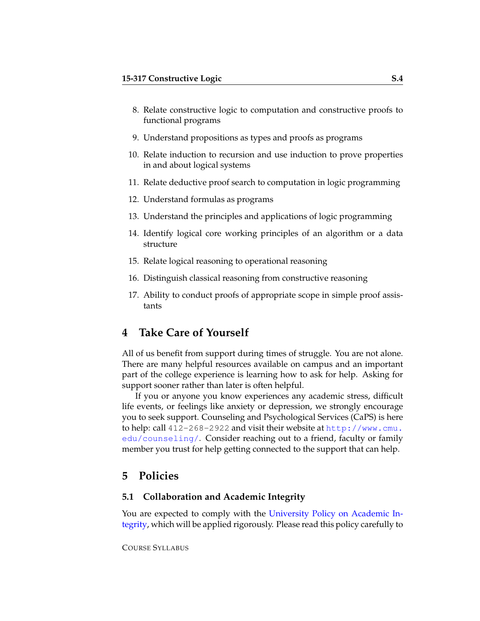- 8. Relate constructive logic to computation and constructive proofs to functional programs
- 9. Understand propositions as types and proofs as programs
- 10. Relate induction to recursion and use induction to prove properties in and about logical systems
- 11. Relate deductive proof search to computation in logic programming
- 12. Understand formulas as programs
- 13. Understand the principles and applications of logic programming
- 14. Identify logical core working principles of an algorithm or a data structure
- 15. Relate logical reasoning to operational reasoning
- 16. Distinguish classical reasoning from constructive reasoning
- 17. Ability to conduct proofs of appropriate scope in simple proof assistants

# **4 Take Care of Yourself**

All of us benefit from support during times of struggle. You are not alone. There are many helpful resources available on campus and an important part of the college experience is learning how to ask for help. Asking for support sooner rather than later is often helpful.

If you or anyone you know experiences any academic stress, difficult life events, or feelings like anxiety or depression, we strongly encourage you to seek support. Counseling and Psychological Services (CaPS) is here to help: call 412-268-2922 and visit their website at [http://www.cmu.](http://www.cmu.edu/counseling/) [edu/counseling/](http://www.cmu.edu/counseling/). Consider reaching out to a friend, faculty or family member you trust for help getting connected to the support that can help.

## **5 Policies**

#### **5.1 Collaboration and Academic Integrity**

You are expected to comply with the [University Policy on Academic In](http://www.cmu.edu/policies/student-and-student-life/academic-integrity.html)[tegrity,](http://www.cmu.edu/policies/student-and-student-life/academic-integrity.html) which will be applied rigorously. Please read this policy carefully to

COURSE SYLLABUS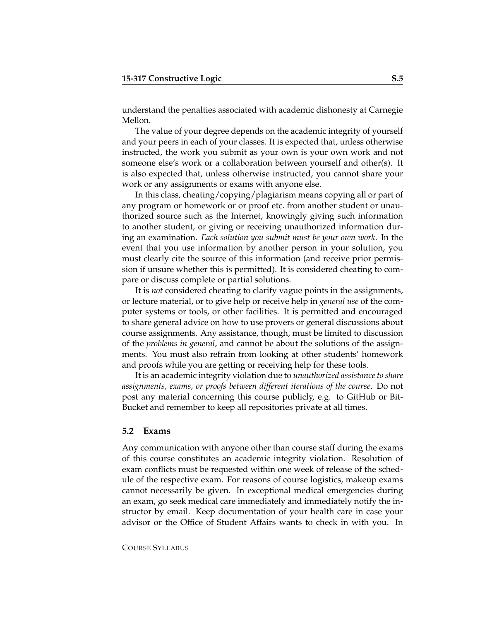understand the penalties associated with academic dishonesty at Carnegie Mellon.

The value of your degree depends on the academic integrity of yourself and your peers in each of your classes. It is expected that, unless otherwise instructed, the work you submit as your own is your own work and not someone else's work or a collaboration between yourself and other(s). It is also expected that, unless otherwise instructed, you cannot share your work or any assignments or exams with anyone else.

In this class, cheating/copying/plagiarism means copying all or part of any program or homework or or proof etc. from another student or unauthorized source such as the Internet, knowingly giving such information to another student, or giving or receiving unauthorized information during an examination. *Each solution you submit must be your own work*. In the event that you use information by another person in your solution, you must clearly cite the source of this information (and receive prior permission if unsure whether this is permitted). It is considered cheating to compare or discuss complete or partial solutions.

It is *not* considered cheating to clarify vague points in the assignments, or lecture material, or to give help or receive help in *general use* of the computer systems or tools, or other facilities. It is permitted and encouraged to share general advice on how to use provers or general discussions about course assignments. Any assistance, though, must be limited to discussion of the *problems in general*, and cannot be about the solutions of the assignments. You must also refrain from looking at other students' homework and proofs while you are getting or receiving help for these tools.

It is an academic integrity violation due to *unauthorized assistance to share assignments, exams, or proofs between different iterations of the course*. Do not post any material concerning this course publicly, e.g. to GitHub or Bit-Bucket and remember to keep all repositories private at all times.

#### **5.2 Exams**

Any communication with anyone other than course staff during the exams of this course constitutes an academic integrity violation. Resolution of exam conflicts must be requested within one week of release of the schedule of the respective exam. For reasons of course logistics, makeup exams cannot necessarily be given. In exceptional medical emergencies during an exam, go seek medical care immediately and immediately notify the instructor by email. Keep documentation of your health care in case your advisor or the Office of Student Affairs wants to check in with you. In